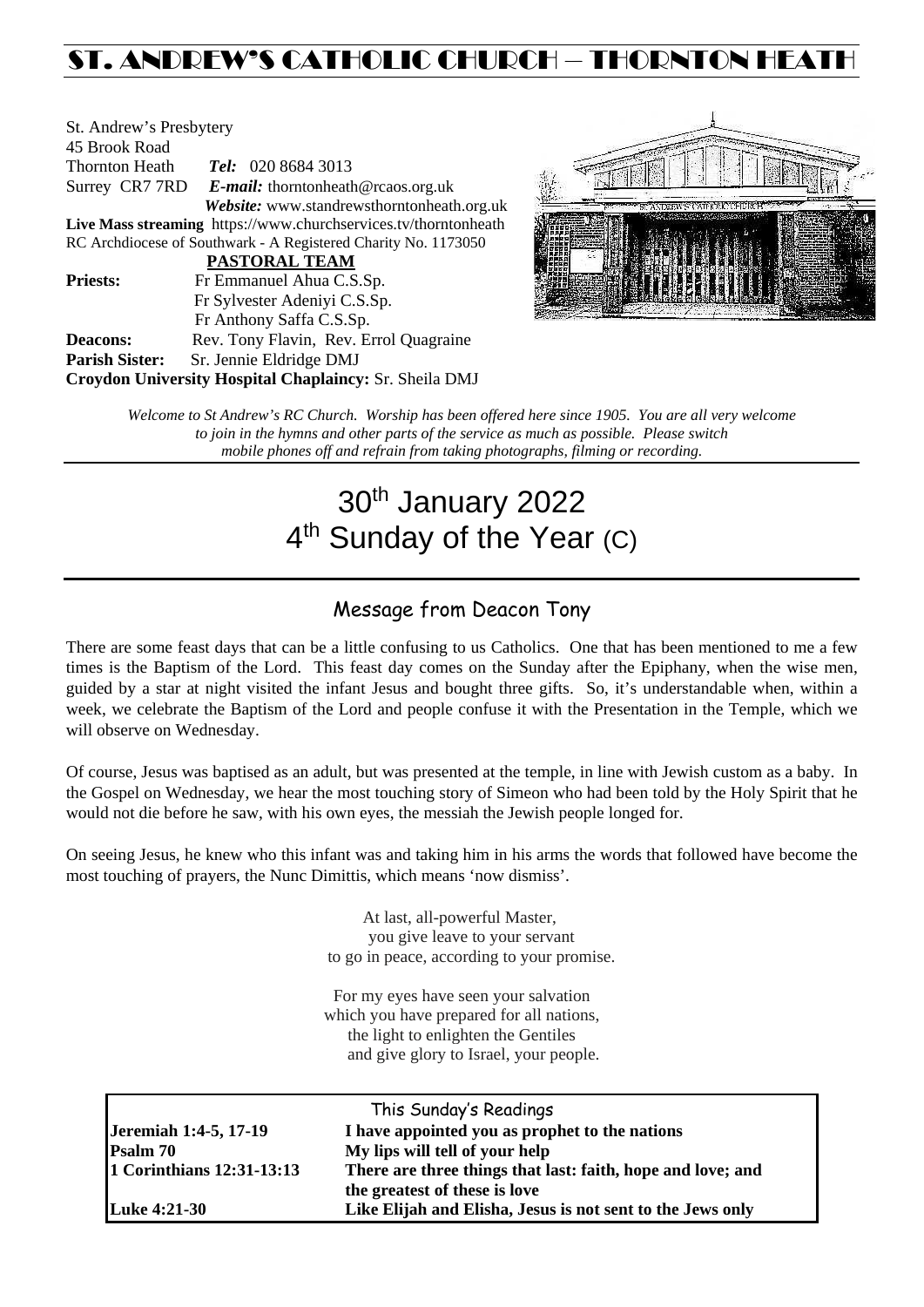# ST. ANDREW'S CATHOLIC CHURCH – THORNTON HEATH

| St. Andrew's Presbytery |                                                                 |
|-------------------------|-----------------------------------------------------------------|
| 45 Brook Road           |                                                                 |
| Thornton Heath          | <b>Tel:</b> 020 8684 3013                                       |
|                         | Surrey CR7 7RD E-mail: thorntonheath@rcaos.org.uk               |
|                         | Website: www.standrewsthorntonheath.org.uk                      |
|                         | Live Mass streaming https://www.churchservices.tv/thorntonheath |
|                         | RC Archdiocese of Southwark - A Registered Charity No. 1173050  |
|                         | <b>PASTORAL TEAM</b>                                            |
| <b>Priests:</b>         | Fr Emmanuel Ahua C.S.Sp.                                        |
|                         | Fr Sylvester Adeniyi C.S.Sp.                                    |
|                         | Fr Anthony Saffa C.S.Sp.                                        |
| <b>Deacons:</b>         | Rev. Tony Flavin, Rev. Errol Quagraine                          |
| <b>Parish Sister:</b>   | Sr. Jennie Eldridge DMJ                                         |
|                         | Croydon University Hospital Chaplaincy: Sr. Sheila DMJ          |



*Welcome to St Andrew's RC Church. Worship has been offered here since 1905. You are all very welcome to join in the hymns and other parts of the service as much as possible. Please switch mobile phones off and refrain from taking photographs, filming or recording.*

# 30th January 2022 4<sup>th</sup> Sunday of the Year (C)

# Message from Deacon Tony

There are some feast days that can be a little confusing to us Catholics. One that has been mentioned to me a few times is the Baptism of the Lord. This feast day comes on the Sunday after the Epiphany, when the wise men, guided by a star at night visited the infant Jesus and bought three gifts. So, it's understandable when, within a week, we celebrate the Baptism of the Lord and people confuse it with the Presentation in the Temple, which we will observe on Wednesday.

Of course, Jesus was baptised as an adult, but was presented at the temple, in line with Jewish custom as a baby. In the Gospel on Wednesday, we hear the most touching story of Simeon who had been told by the Holy Spirit that he would not die before he saw, with his own eyes, the messiah the Jewish people longed for.

On seeing Jesus, he knew who this infant was and taking him in his arms the words that followed have become the most touching of prayers, the Nunc Dimittis, which means 'now dismiss'.

> At last, all-powerful Master, you give leave to your servant to go in peace, according to your promise.

For my eyes have seen your salvation which you have prepared for all nations, the light to enlighten the Gentiles and give glory to Israel, your people.

|                           | This Sunday's Readings                                      |  |  |
|---------------------------|-------------------------------------------------------------|--|--|
| Jeremiah 1:4-5, 17-19     | I have appointed you as prophet to the nations              |  |  |
| <b>Psalm 70</b>           | My lips will tell of your help                              |  |  |
| 1 Corinthians 12:31-13:13 | There are three things that last: faith, hope and love; and |  |  |
|                           | the greatest of these is love                               |  |  |
| <b>Luke 4:21-30</b>       | Like Elijah and Elisha, Jesus is not sent to the Jews only  |  |  |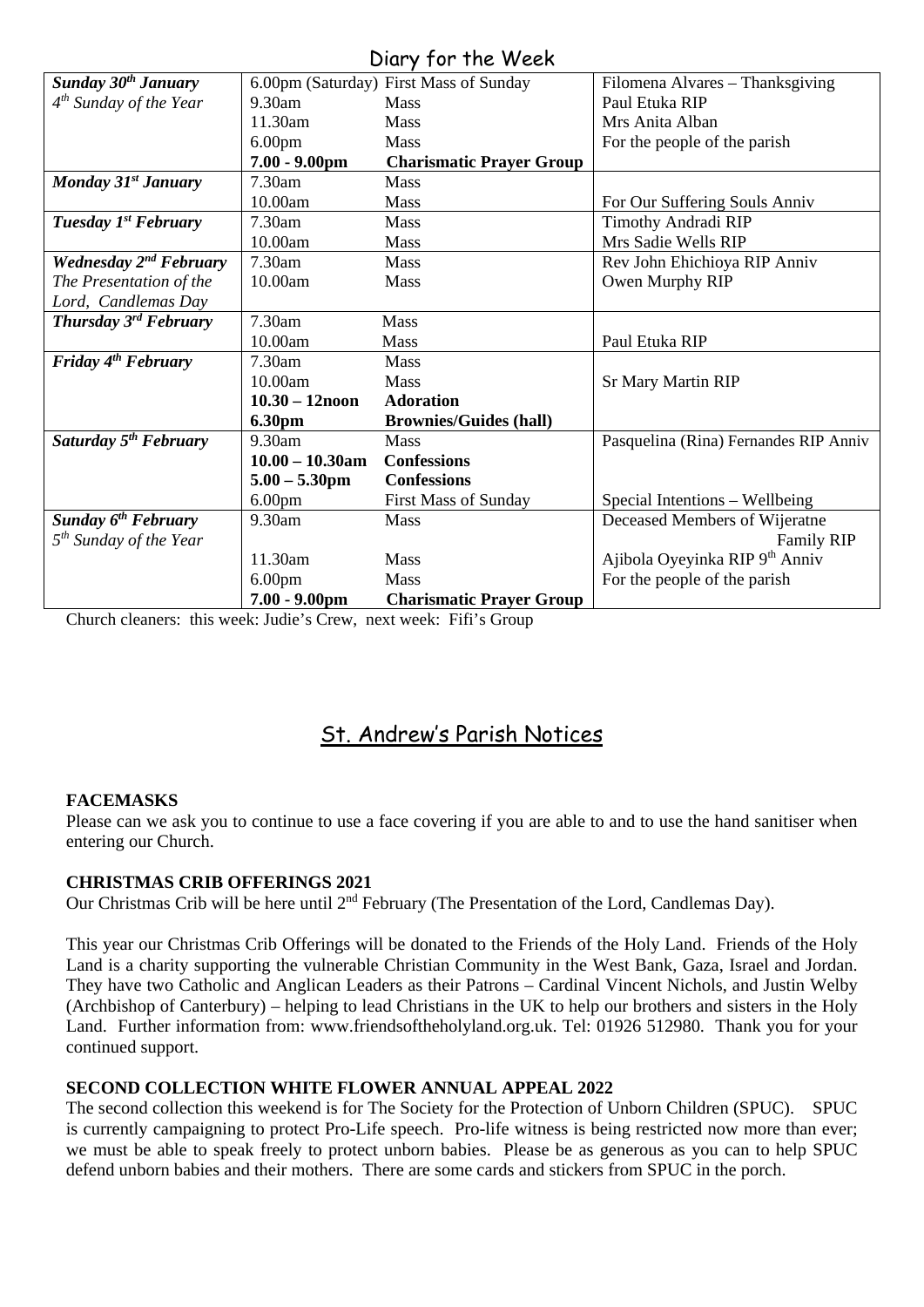## Diary for the Week

|                                         | UNIY IVI IIIC IVCCIN |                                        |                                            |  |  |  |
|-----------------------------------------|----------------------|----------------------------------------|--------------------------------------------|--|--|--|
| Sunday 30 <sup>th</sup> January         |                      | 6.00pm (Saturday) First Mass of Sunday | Filomena Alvares - Thanksgiving            |  |  |  |
| $4th$ Sunday of the Year                | 9.30am               | <b>Mass</b>                            | Paul Etuka RIP                             |  |  |  |
|                                         | 11.30am              | <b>Mass</b>                            | Mrs Anita Alban                            |  |  |  |
|                                         | 6.00 <sub>pm</sub>   | Mass                                   | For the people of the parish               |  |  |  |
|                                         | $7.00 - 9.00$ pm     | <b>Charismatic Prayer Group</b>        |                                            |  |  |  |
| Monday 31 <sup>st</sup> January         | 7.30am               | <b>Mass</b>                            |                                            |  |  |  |
|                                         | 10.00am              | <b>Mass</b>                            | For Our Suffering Souls Anniv              |  |  |  |
| Tuesday 1 <sup>st</sup> February        | 7.30am               | Mass                                   | Timothy Andradi RIP                        |  |  |  |
|                                         | 10.00am              | <b>Mass</b>                            | Mrs Sadie Wells RIP                        |  |  |  |
| <b>Wednesday 2nd February</b>           | 7.30am               | <b>Mass</b>                            | Rev John Ehichioya RIP Anniv               |  |  |  |
| The Presentation of the                 | 10.00am              | Mass                                   | Owen Murphy RIP                            |  |  |  |
| Lord, Candlemas Day                     |                      |                                        |                                            |  |  |  |
| <b>Thursday 3<sup>rd</sup> February</b> | 7.30am               | Mass                                   |                                            |  |  |  |
|                                         | 10.00am              | <b>Mass</b>                            | Paul Etuka RIP                             |  |  |  |
| Friday $4th$ February                   | 7.30am               | <b>Mass</b>                            |                                            |  |  |  |
|                                         | 10.00am              | Mass                                   | <b>Sr Mary Martin RIP</b>                  |  |  |  |
|                                         | $10.30 - 12$ noon    | <b>Adoration</b>                       |                                            |  |  |  |
|                                         | 6.30pm               | <b>Brownies/Guides (hall)</b>          |                                            |  |  |  |
| Saturday 5 <sup>th</sup> February       | 9.30am               | Mass                                   | Pasquelina (Rina) Fernandes RIP Anniv      |  |  |  |
|                                         | $10.00 - 10.30$ am   | <b>Confessions</b>                     |                                            |  |  |  |
|                                         | $5.00 - 5.30$ pm     | <b>Confessions</b>                     |                                            |  |  |  |
|                                         | 6.00 <sub>pm</sub>   | <b>First Mass of Sunday</b>            | Special Intentions - Wellbeing             |  |  |  |
| <b>Sunday 6<sup>th</sup> February</b>   | 9.30am               | <b>Mass</b>                            | Deceased Members of Wijeratne              |  |  |  |
| $5th$ Sunday of the Year                |                      |                                        | <b>Family RIP</b>                          |  |  |  |
|                                         | 11.30am              | Mass                                   | Ajibola Oyeyinka RIP 9 <sup>th</sup> Anniv |  |  |  |
|                                         | 6.00 <sub>pm</sub>   | Mass                                   | For the people of the parish               |  |  |  |
|                                         | $7.00 - 9.00$ pm     | <b>Charismatic Prayer Group</b>        |                                            |  |  |  |

Church cleaners: this week: Judie's Crew, next week: Fifi's Group

# St. Andrew's Parish Notices

## **FACEMASKS**

Please can we ask you to continue to use a face covering if you are able to and to use the hand sanitiser when entering our Church.

## **CHRISTMAS CRIB OFFERINGS 2021**

Our Christmas Crib will be here until 2<sup>nd</sup> February (The Presentation of the Lord, Candlemas Day).

This year our Christmas Crib Offerings will be donated to the Friends of the Holy Land. Friends of the Holy Land is a charity supporting the vulnerable Christian Community in the West Bank, Gaza, Israel and Jordan. They have two Catholic and Anglican Leaders as their Patrons – Cardinal Vincent Nichols, and Justin Welby (Archbishop of Canterbury) – helping to lead Christians in the UK to help our brothers and sisters in the Holy Land. Further information from: [www.friendsoftheholyland.org.uk.](http://www.friendsoftheholyland.org.uk/) Tel: 01926 512980. Thank you for your continued support.

## **SECOND COLLECTION WHITE FLOWER ANNUAL APPEAL 2022**

The second collection this weekend is for The Society for the Protection of Unborn Children (SPUC). SPUC is currently campaigning to protect Pro-Life speech. Pro-life witness is being restricted now more than ever; we must be able to speak freely to protect unborn babies. Please be as generous as you can to help SPUC defend unborn babies and their mothers. There are some cards and stickers from SPUC in the porch.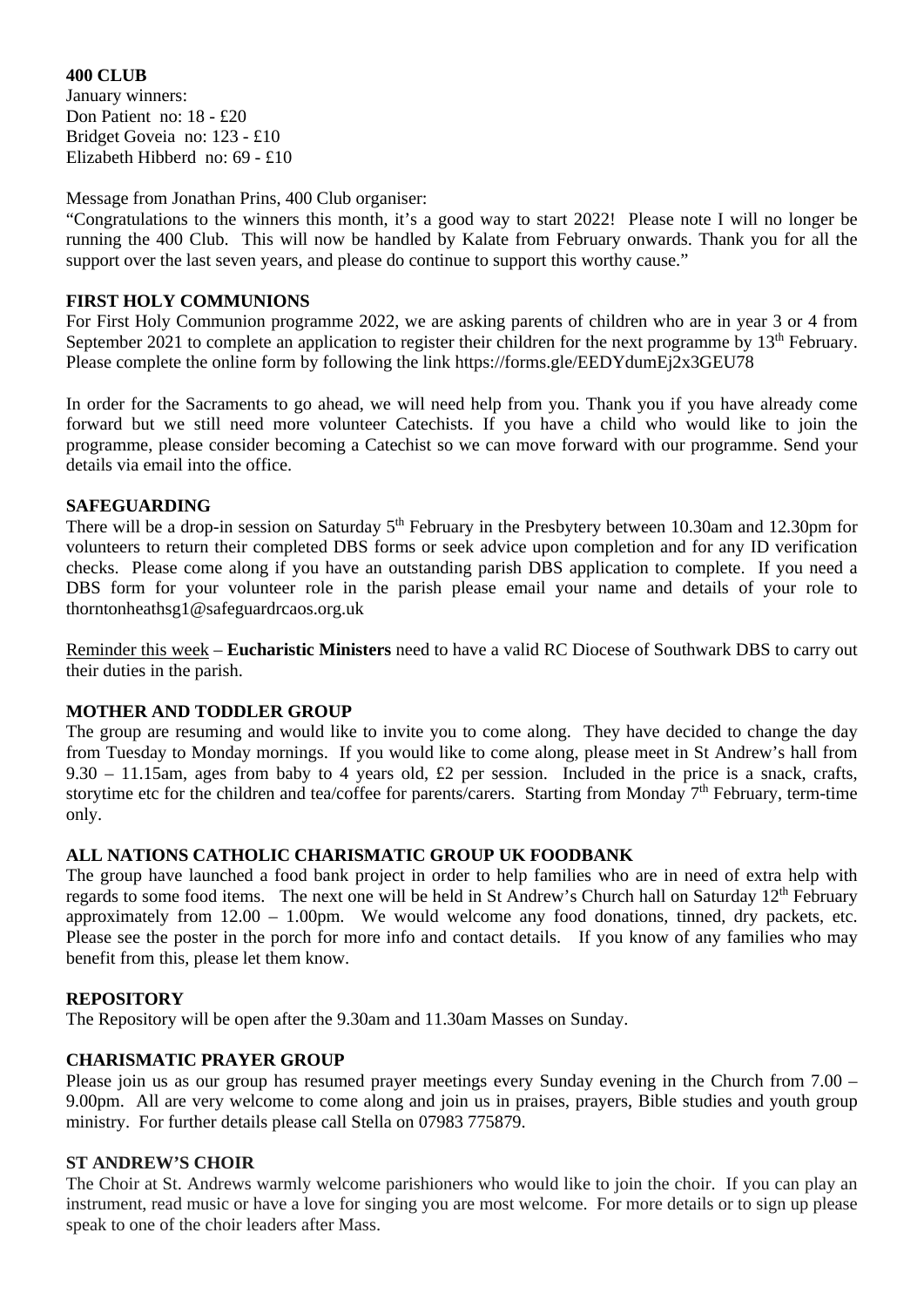**400 CLUB** January winners: Don Patient no: 18 - £20 Bridget Goveia no: 123 - £10 Elizabeth Hibberd no: 69 - £10

Message from Jonathan Prins, 400 Club organiser:

"Congratulations to the winners this month, it's a good way to start 2022! Please note I will no longer be running the 400 Club. This will now be handled by Kalate from February onwards. Thank you for all the support over the last seven years, and please do continue to support this worthy cause."

#### **FIRST HOLY COMMUNIONS**

For First Holy Communion programme 2022, we are asking parents of children who are in year 3 or 4 from September 2021 to complete an application to register their children for the next programme by  $13<sup>th</sup>$  February. Please complete the online form by following the link <https://forms.gle/EEDYdumEj2x3GEU78>

In order for the Sacraments to go ahead, we will need help from you. Thank you if you have already come forward but we still need more volunteer Catechists. If you have a child who would like to join the programme, please consider becoming a Catechist so we can move forward with our programme. Send your details via email into the office.

#### **SAFEGUARDING**

There will be a drop-in session on Saturday 5<sup>th</sup> February in the Presbytery between 10.30am and 12.30pm for volunteers to return their completed DBS forms or seek advice upon completion and for any ID verification checks. Please come along if you have an outstanding parish DBS application to complete. If you need a DBS form for your volunteer role in the parish please email your name and details of your role to [thorntonheathsg1@safeguardrcaos.org.uk](mailto:thorntonheathsg1@safeguardrcaos.org.uk)

Reminder this week – **Eucharistic Ministers** need to have a valid RC Diocese of Southwark DBS to carry out their duties in the parish.

#### **MOTHER AND TODDLER GROUP**

The group are resuming and would like to invite you to come along. They have decided to change the day from Tuesday to Monday mornings. If you would like to come along, please meet in St Andrew's hall from 9.30 – 11.15am, ages from baby to 4 years old, £2 per session. Included in the price is a snack, crafts, storytime etc for the children and tea/coffee for parents/carers. Starting from Monday  $7<sup>th</sup>$  February, term-time only.

#### **ALL NATIONS CATHOLIC CHARISMATIC GROUP UK FOODBANK**

The group have launched a food bank project in order to help families who are in need of extra help with regards to some food items. The next one will be held in St Andrew's Church hall on Saturday 12<sup>th</sup> February approximately from 12.00 – 1.00pm. We would welcome any food donations, tinned, dry packets, etc. Please see the poster in the porch for more info and contact details. If you know of any families who may benefit from this, please let them know.

#### **REPOSITORY**

The Repository will be open after the 9.30am and 11.30am Masses on Sunday.

#### **CHARISMATIC PRAYER GROUP**

Please join us as our group has resumed prayer meetings every Sunday evening in the Church from 7.00 – 9.00pm. All are very welcome to come along and join us in praises, prayers, Bible studies and youth group ministry. For further details please call Stella on 07983 775879.

#### **ST ANDREW'S CHOIR**

The Choir at St. Andrews warmly welcome parishioners who would like to join the choir. If you can play an instrument, read music or have a love for singing you are most welcome. For more details or to sign up please speak to one of the choir leaders after Mass.